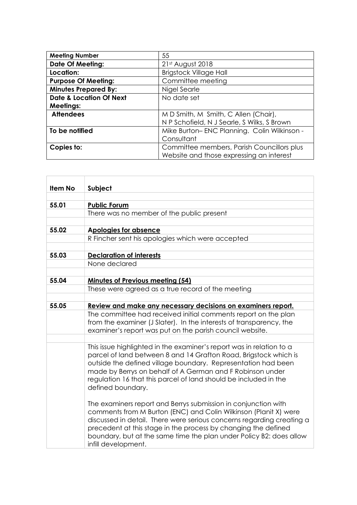| <b>Meeting Number</b>              | 55                                          |
|------------------------------------|---------------------------------------------|
| <b>Date Of Meeting:</b>            | 21st August 2018                            |
| Location:                          | <b>Brigstock Village Hall</b>               |
| <b>Purpose Of Meeting:</b>         | Committee meeting                           |
| <b>Minutes Prepared By:</b>        | Nigel Searle                                |
| <b>Date &amp; Location Of Next</b> | No date set                                 |
| <b>Meetings:</b>                   |                                             |
| <b>Attendees</b>                   | M D Smith, M Smith, C Allen (Chair),        |
|                                    | N P Schofield, N J Searle, S Wilks, S Brown |
| To be notified                     | Mike Burton-ENC Planning. Colin Wilkinson - |
|                                    | Consultant                                  |
| Copies to:                         | Committee members, Parish Councillors plus  |
|                                    | Website and those expressing an interest    |

| <b>Item No</b> | Subject                                                                                                                    |
|----------------|----------------------------------------------------------------------------------------------------------------------------|
|                |                                                                                                                            |
| 55.01          | <b>Public Forum</b>                                                                                                        |
|                | There was no member of the public present                                                                                  |
|                |                                                                                                                            |
| 55.02          | <b>Apologies for absence</b>                                                                                               |
|                | R Fincher sent his apologies which were accepted                                                                           |
|                |                                                                                                                            |
| 55.03          | <b>Declaration of interests</b>                                                                                            |
|                | None declared                                                                                                              |
|                |                                                                                                                            |
| 55.04          | <b>Minutes of Previous meeting (54)</b>                                                                                    |
|                | These were agreed as a true record of the meeting                                                                          |
| 55.05          | Review and make any necessary decisions on examiners report.                                                               |
|                | The committee had received initial comments report on the plan                                                             |
|                | from the examiner (J Slater). In the interests of transparency, the                                                        |
|                | examiner's report was put on the parish council website.                                                                   |
|                |                                                                                                                            |
|                | This issue highlighted in the examiner's report was in relation to a                                                       |
|                | parcel of land between 8 and 14 Grafton Road, Brigstock which is                                                           |
|                | outside the defined village boundary. Representation had been<br>made by Berrys on behalf of A German and F Robinson under |
|                | regulation 16 that this parcel of land should be included in the                                                           |
|                | defined boundary.                                                                                                          |
|                |                                                                                                                            |
|                | The examiners report and Berrys submission in conjunction with                                                             |
|                | comments from M Burton (ENC) and Colin Wilkinson (Planit X) were                                                           |
|                | discussed in detail. There were serious concerns regarding creating a                                                      |
|                | precedent at this stage in the process by changing the defined                                                             |
|                | boundary, but at the same time the plan under Policy B2: does allow                                                        |
|                | infill development.                                                                                                        |